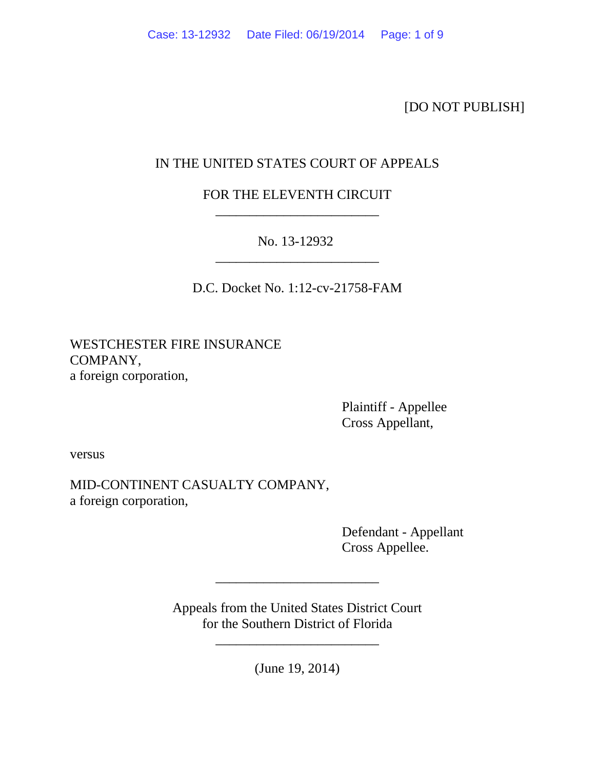[DO NOT PUBLISH]

# IN THE UNITED STATES COURT OF APPEALS

FOR THE ELEVENTH CIRCUIT \_\_\_\_\_\_\_\_\_\_\_\_\_\_\_\_\_\_\_\_\_\_\_\_

No. 13-12932 \_\_\_\_\_\_\_\_\_\_\_\_\_\_\_\_\_\_\_\_\_\_\_\_

D.C. Docket No. 1:12-cv-21758-FAM

WESTCHESTER FIRE INSURANCE COMPANY, a foreign corporation,

> Plaintiff - Appellee Cross Appellant,

versus

MID-CONTINENT CASUALTY COMPANY, a foreign corporation,

> Defendant - Appellant Cross Appellee.

Appeals from the United States District Court for the Southern District of Florida

\_\_\_\_\_\_\_\_\_\_\_\_\_\_\_\_\_\_\_\_\_\_\_\_

(June 19, 2014)

\_\_\_\_\_\_\_\_\_\_\_\_\_\_\_\_\_\_\_\_\_\_\_\_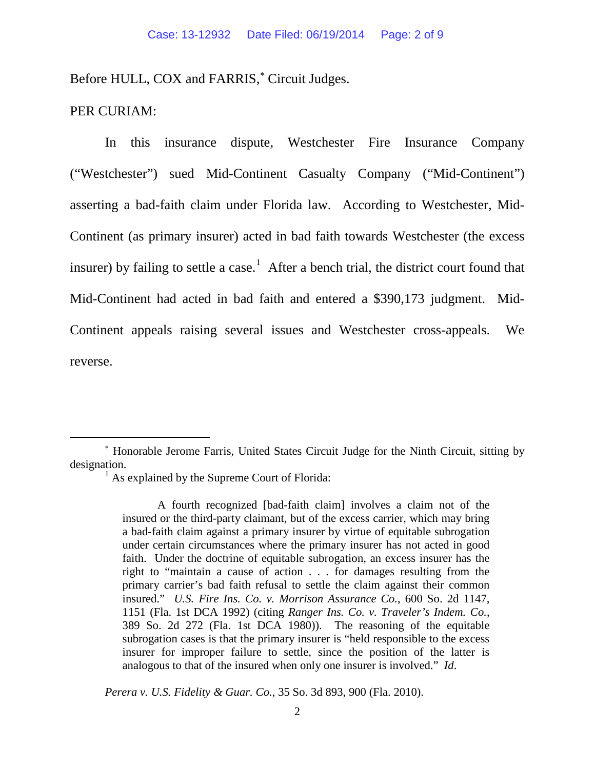Before HULL, COX and FARRIS,<sup>\*</sup> Circuit Judges.

### PER CURIAM:

In this insurance dispute, Westchester Fire Insurance Company ("Westchester") sued Mid-Continent Casualty Company ("Mid-Continent") asserting a bad-faith claim under Florida law. According to Westchester, Mid-Continent (as primary insurer) acted in bad faith towards Westchester (the excess insurer) by failing to settle a case.<sup>[1](#page-1-1)</sup> After a bench trial, the district court found that Mid-Continent had acted in bad faith and entered a \$390,173 judgment. Mid-Continent appeals raising several issues and Westchester cross-appeals. We reverse.

*Perera v. U.S. Fidelity & Guar. Co.*, 35 So. 3d 893, 900 (Fla. 2010).

<span id="page-1-1"></span><span id="page-1-0"></span><sup>∗</sup> Honorable Jerome Farris, United States Circuit Judge for the Ninth Circuit, sitting by designation.<br> $\frac{1}{1}$  As explained by the Supreme Court of Florida:

A fourth recognized [bad-faith claim] involves a claim not of the insured or the third-party claimant, but of the excess carrier, which may bring a bad-faith claim against a primary insurer by virtue of equitable subrogation under certain circumstances where the primary insurer has not acted in good faith. Under the doctrine of equitable subrogation, an excess insurer has the right to "maintain a cause of action . . . for damages resulting from the primary carrier's bad faith refusal to settle the claim against their common insured." *U.S. Fire Ins. Co. v. Morrison Assurance Co.*, 600 So. 2d 1147, 1151 (Fla. 1st DCA 1992) (citing *Ranger Ins. Co. v. Traveler's Indem. Co.*, 389 So. 2d 272 (Fla. 1st DCA 1980)). The reasoning of the equitable subrogation cases is that the primary insurer is "held responsible to the excess insurer for improper failure to settle, since the position of the latter is analogous to that of the insured when only one insurer is involved." *Id*.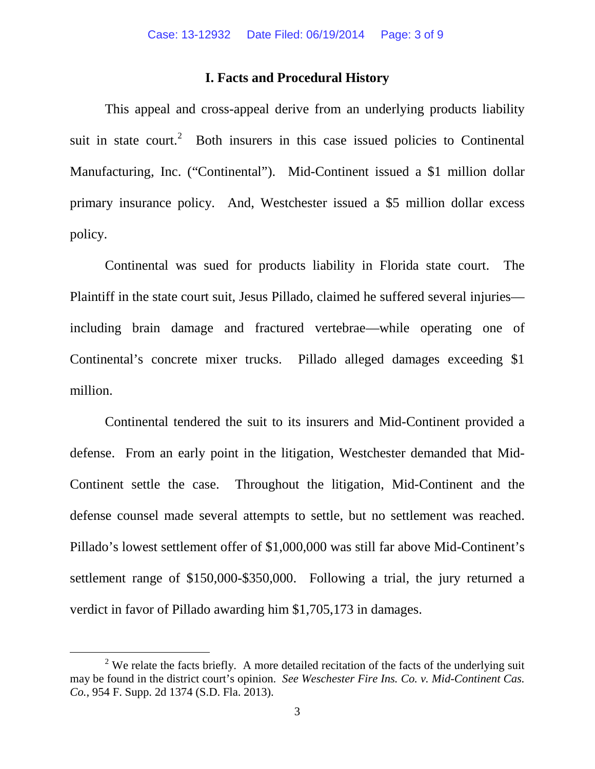#### **I. Facts and Procedural History**

This appeal and cross-appeal derive from an underlying products liability suit in state court.<sup>[2](#page-2-0)</sup> Both insurers in this case issued policies to Continental Manufacturing, Inc. ("Continental"). Mid-Continent issued a \$1 million dollar primary insurance policy. And, Westchester issued a \$5 million dollar excess policy.

Continental was sued for products liability in Florida state court. The Plaintiff in the state court suit, Jesus Pillado, claimed he suffered several injuries including brain damage and fractured vertebrae—while operating one of Continental's concrete mixer trucks. Pillado alleged damages exceeding \$1 million.

Continental tendered the suit to its insurers and Mid-Continent provided a defense. From an early point in the litigation, Westchester demanded that Mid-Continent settle the case. Throughout the litigation, Mid-Continent and the defense counsel made several attempts to settle, but no settlement was reached. Pillado's lowest settlement offer of \$1,000,000 was still far above Mid-Continent's settlement range of \$150,000-\$350,000. Following a trial, the jury returned a verdict in favor of Pillado awarding him \$1,705,173 in damages.

<span id="page-2-0"></span><sup>&</sup>lt;sup>2</sup> We relate the facts briefly. A more detailed recitation of the facts of the underlying suit may be found in the district court's opinion. *See Weschester Fire Ins. Co. v. Mid-Continent Cas. Co.*, 954 F. Supp. 2d 1374 (S.D. Fla. 2013).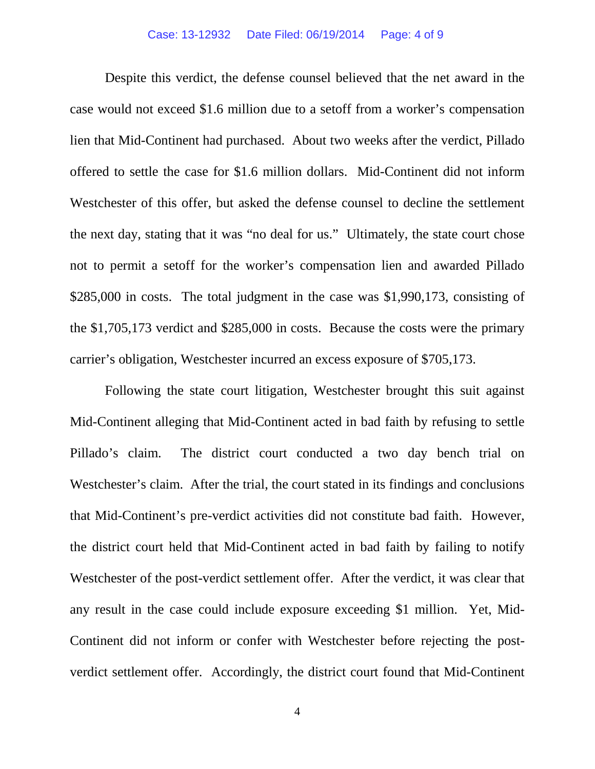Despite this verdict, the defense counsel believed that the net award in the case would not exceed \$1.6 million due to a setoff from a worker's compensation lien that Mid-Continent had purchased. About two weeks after the verdict, Pillado offered to settle the case for \$1.6 million dollars. Mid-Continent did not inform Westchester of this offer, but asked the defense counsel to decline the settlement the next day, stating that it was "no deal for us." Ultimately, the state court chose not to permit a setoff for the worker's compensation lien and awarded Pillado \$285,000 in costs. The total judgment in the case was \$1,990,173, consisting of the \$1,705,173 verdict and \$285,000 in costs. Because the costs were the primary carrier's obligation, Westchester incurred an excess exposure of \$705,173.

Following the state court litigation, Westchester brought this suit against Mid-Continent alleging that Mid-Continent acted in bad faith by refusing to settle Pillado's claim. The district court conducted a two day bench trial on Westchester's claim. After the trial, the court stated in its findings and conclusions that Mid-Continent's pre-verdict activities did not constitute bad faith. However, the district court held that Mid-Continent acted in bad faith by failing to notify Westchester of the post-verdict settlement offer. After the verdict, it was clear that any result in the case could include exposure exceeding \$1 million. Yet, Mid-Continent did not inform or confer with Westchester before rejecting the postverdict settlement offer. Accordingly, the district court found that Mid-Continent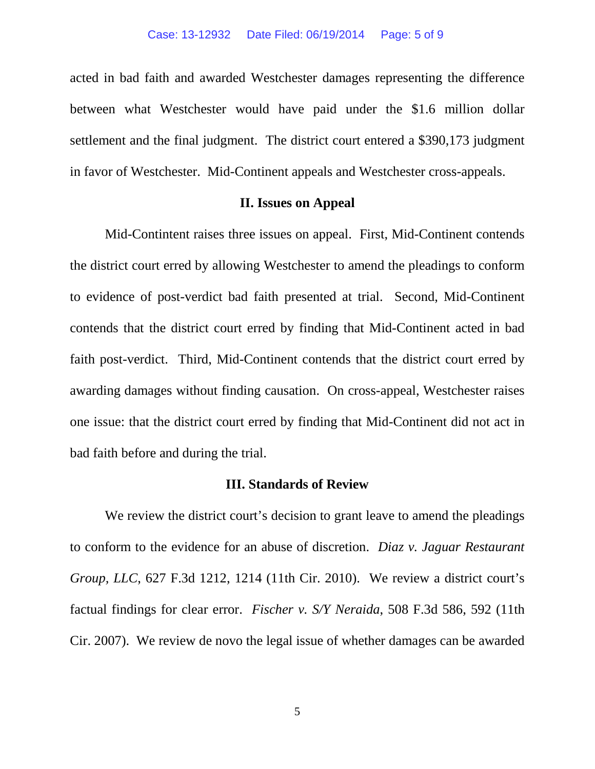acted in bad faith and awarded Westchester damages representing the difference between what Westchester would have paid under the \$1.6 million dollar settlement and the final judgment. The district court entered a \$390,173 judgment in favor of Westchester. Mid-Continent appeals and Westchester cross-appeals.

#### **II. Issues on Appeal**

Mid-Contintent raises three issues on appeal. First, Mid-Continent contends the district court erred by allowing Westchester to amend the pleadings to conform to evidence of post-verdict bad faith presented at trial. Second, Mid-Continent contends that the district court erred by finding that Mid-Continent acted in bad faith post-verdict. Third, Mid-Continent contends that the district court erred by awarding damages without finding causation. On cross-appeal, Westchester raises one issue: that the district court erred by finding that Mid-Continent did not act in bad faith before and during the trial.

#### **III. Standards of Review**

We review the district court's decision to grant leave to amend the pleadings to conform to the evidence for an abuse of discretion. *Diaz v. Jaguar Restaurant Group, LLC*, 627 F.3d 1212, 1214 (11th Cir. 2010). We review a district court's factual findings for clear error. *Fischer v. S/Y Neraida*, 508 F.3d 586, 592 (11th Cir. 2007). We review de novo the legal issue of whether damages can be awarded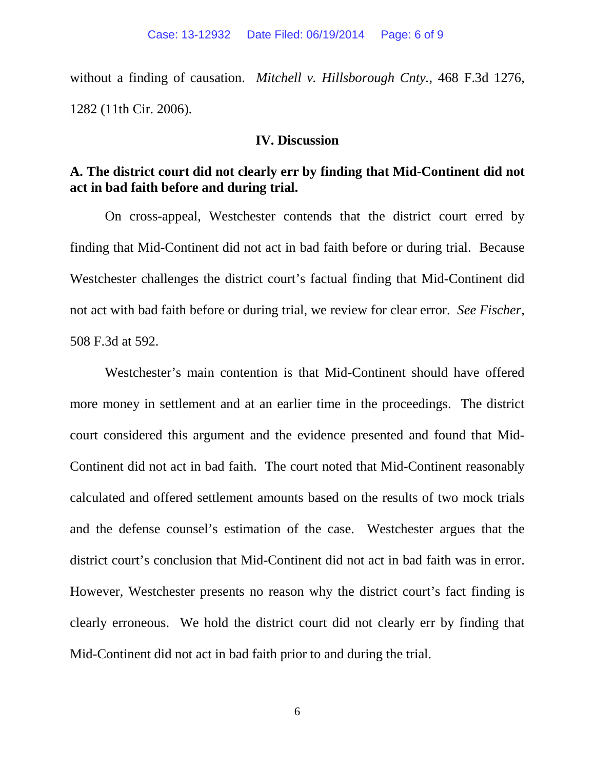without a finding of causation. *Mitchell v. Hillsborough Cnty.*, 468 F.3d 1276, 1282 (11th Cir. 2006).

### **IV. Discussion**

## **A. The district court did not clearly err by finding that Mid-Continent did not act in bad faith before and during trial.**

On cross-appeal, Westchester contends that the district court erred by finding that Mid-Continent did not act in bad faith before or during trial. Because Westchester challenges the district court's factual finding that Mid-Continent did not act with bad faith before or during trial, we review for clear error. *See Fischer*, 508 F.3d at 592.

Westchester's main contention is that Mid-Continent should have offered more money in settlement and at an earlier time in the proceedings. The district court considered this argument and the evidence presented and found that Mid-Continent did not act in bad faith. The court noted that Mid-Continent reasonably calculated and offered settlement amounts based on the results of two mock trials and the defense counsel's estimation of the case. Westchester argues that the district court's conclusion that Mid-Continent did not act in bad faith was in error. However, Westchester presents no reason why the district court's fact finding is clearly erroneous. We hold the district court did not clearly err by finding that Mid-Continent did not act in bad faith prior to and during the trial.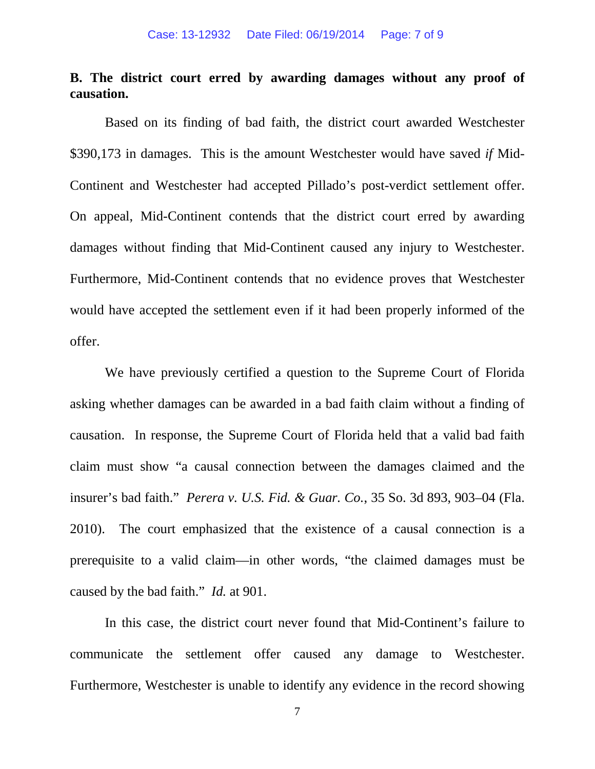# **B. The district court erred by awarding damages without any proof of causation.**

Based on its finding of bad faith, the district court awarded Westchester \$390,173 in damages. This is the amount Westchester would have saved *if* Mid-Continent and Westchester had accepted Pillado's post-verdict settlement offer. On appeal, Mid-Continent contends that the district court erred by awarding damages without finding that Mid-Continent caused any injury to Westchester. Furthermore, Mid-Continent contends that no evidence proves that Westchester would have accepted the settlement even if it had been properly informed of the offer.

We have previously certified a question to the Supreme Court of Florida asking whether damages can be awarded in a bad faith claim without a finding of causation. In response, the Supreme Court of Florida held that a valid bad faith claim must show "a causal connection between the damages claimed and the insurer's bad faith." *Perera v. U.S. Fid. & Guar. Co.*, 35 So. 3d 893, 903–04 (Fla. 2010). The court emphasized that the existence of a causal connection is a prerequisite to a valid claim—in other words, "the claimed damages must be caused by the bad faith." *Id.* at 901.

In this case, the district court never found that Mid-Continent's failure to communicate the settlement offer caused any damage to Westchester. Furthermore, Westchester is unable to identify any evidence in the record showing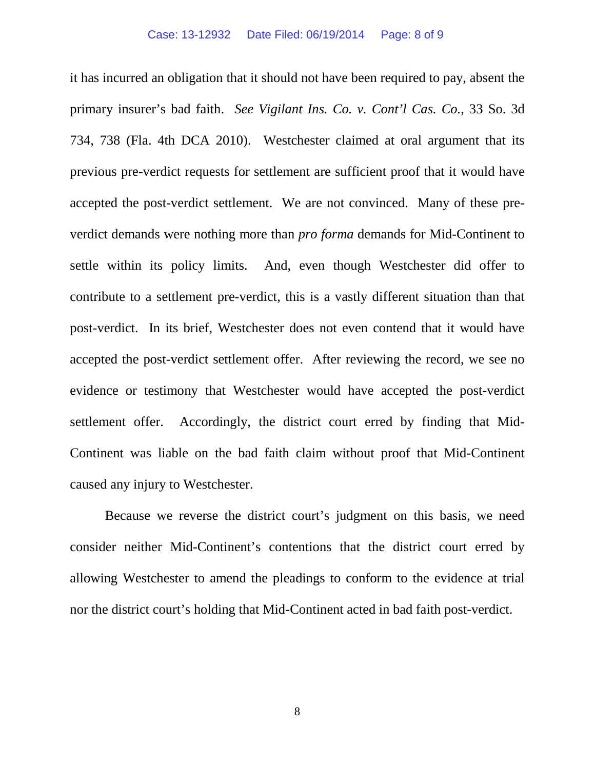it has incurred an obligation that it should not have been required to pay, absent the primary insurer's bad faith. *See Vigilant Ins. Co. v. Cont'l Cas. Co.*, 33 So. 3d 734, 738 (Fla. 4th DCA 2010). Westchester claimed at oral argument that its previous pre-verdict requests for settlement are sufficient proof that it would have accepted the post-verdict settlement. We are not convinced. Many of these preverdict demands were nothing more than *pro forma* demands for Mid-Continent to settle within its policy limits. And, even though Westchester did offer to contribute to a settlement pre-verdict, this is a vastly different situation than that post-verdict. In its brief, Westchester does not even contend that it would have accepted the post-verdict settlement offer. After reviewing the record, we see no evidence or testimony that Westchester would have accepted the post-verdict settlement offer. Accordingly, the district court erred by finding that Mid-Continent was liable on the bad faith claim without proof that Mid-Continent caused any injury to Westchester.

Because we reverse the district court's judgment on this basis, we need consider neither Mid-Continent's contentions that the district court erred by allowing Westchester to amend the pleadings to conform to the evidence at trial nor the district court's holding that Mid-Continent acted in bad faith post-verdict.

8